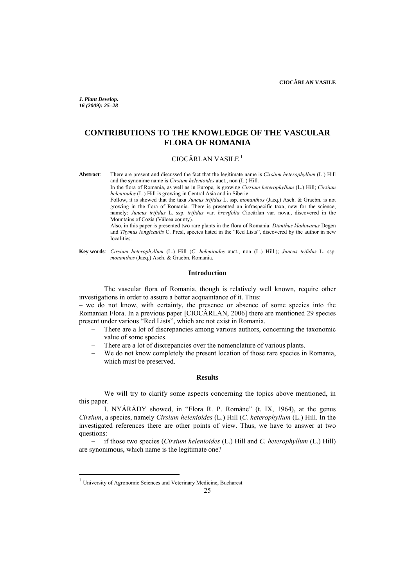*J. Plant Develop. 16 (2009): 25–28* 

# **CONTRIBUTIONS TO THE KNOWLEDGE OF THE VASCULAR FLORA OF ROMANIA**

### $CIOC\hat{A}$ RLAN VASILE<sup>[1](#page-0-0)</sup>

**Abstract**: There are present and discussed the fact that the legitimate name is *Cirsium heterophyllum* (L.) Hill and the synonime name is *Cirsium helenioides* auct., non (L.) Hill.

In the flora of Romania, as well as in Europe, is growing *Cirsium heterophyllum* (L.) Hill; *Cirsium helenioides* (L.) Hill is growing in Central Asia and in Siberie.

Follow, it is showed that the taxa *Juncus trifidus* L. ssp. *monanthos* (Jacq.) Asch. & Graebn. is not growing in the flora of Romania. There is presented an infraspecific taxa, new for the science, namely: *Juncus trifidus* L. ssp. *trifidus* var. *brevifolia* Ciocârlan var. nova., discovered in the Mountains of Cozia (Vâlcea county).

Also, in this paper is presented two rare plants in the flora of Romania: *Dianthus kladovanus* Degen and *Thymus longicaulis* C. Presl, species listed in the "Red Lists", discovered by the author in new **localities** 

**Key words**: *Cirsium heterophyllum* (L.) Hill (*C. helenioides* auct., non (L.) Hill.); *Juncus trifidus* L. ssp. *monanthos* (Jacq.) Asch. & Graebn. Romania.

### **Introduction**

 The vascular flora of Romania, though is relatively well known, require other investigations in order to assure a better acquaintance of it. Thus:

– we do not know, with certainty, the presence or absence of some species into the Romanian Flora. In a previous paper [CIOCÂRLAN, 2006] there are mentioned 29 species present under various "Red Lists", which are not exist in Romania.

- There are a lot of discrepancies among various authors, concerning the taxonomic value of some species.
- There are a lot of discrepancies over the nomenclature of various plants.
- We do not know completely the present location of those rare species in Romania, which must be preserved.

#### **Results**

 We will try to clarify some aspects concerning the topics above mentioned, in this paper.

 I. NYÁRÁDY showed, in "Flora R. P. Române" (t. IX, 1964), at the genus *Cirsium*, a species, namely *Cirsium helenioides* (L.) Hill (*C. heterophyllum* (L.) Hill. In the investigated references there are other points of view. Thus, we have to answer at two questions:

– if those two species (*Cirsium helenioides* (L.) Hill and *C. heterophyllum* (L.) Hill) are synonimous, which name is the legitimate one?

 $\overline{a}$ 

<span id="page-0-0"></span><sup>&</sup>lt;sup>1</sup> University of Agronomic Sciences and Veterinary Medicine, Bucharest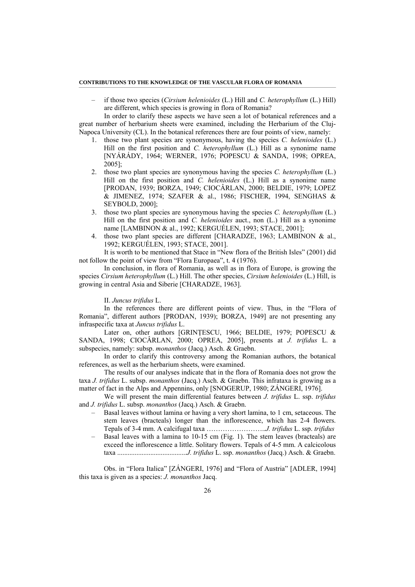#### **CONTRIBUTIONS TO THE KNOWLEDGE OF THE VASCULAR FLORA OF ROMANIA**

– if those two species (*Cirsium helenioides* (L.) Hill and *C. heterophyllum* (L.) Hill) are different, which species is growing in flora of Romania?

 In order to clarify these aspects we have seen a lot of botanical references and a great number of herbarium sheets were examined, including the Herbarium of the Cluj-Napoca University (CL). In the botanical references there are four points of view, namely:

- 1. those two plant species are synonymous, having the species *C. helenioides* (L.) Hill on the first position and *C. heterophyllum* (L.) Hill as a synonime name [NYÁRÁDY, 1964; WERNER, 1976; POPESCU & SANDA, 1998; OPREA, 2005];
- 2. those two plant species are synonymous having the species *C. heterophyllum* (L.) Hill on the first position and *C. helenioides* (L.) Hill as a synonime name [PRODAN, 1939; BORZA, 1949; CIOCÂRLAN, 2000; BELDIE, 1979; LOPEZ & JIMENEZ, 1974; SZAFER & al., 1986; FISCHER, 1994, SENGHAS & SEYBOLD, 2000];
- 3. those two plant species are synonymous having the species *C. heterophyllum* (L.) Hill on the first position and *C. helenioides* auct., non (L.) Hill as a synonime name [LAMBINON & al., 1992; KERGUÉLEN, 1993; STACE, 2001];
- 4. those two plant species are different [CHARADZE, 1963; LAMBINON & al., 1992; KERGUÉLEN, 1993; STACE, 2001].

 It is worth to be mentioned that Stace in "New flora of the British Isles" (2001) did not follow the point of view from "Flora Europaea", t. 4 (1976).

 In conclusion, in flora of Romania, as well as in flora of Europe, is growing the species *Cirsium heterophyllum* (L.) Hill. The other species, *Cirsium helenioides* (L.) Hill, is growing in central Asia and Siberie [CHARADZE, 1963].

II. *Juncus trifidus* L.

 In the references there are different points of view. Thus, in the "Flora of Romania", different authors [PRODAN, 1939); BORZA, 1949] are not presenting any infraspecific taxa at *Juncus trifidus* L.

Later on, other authors [GRINTESCU, 1966; BELDIE, 1979; POPESCU & SANDA, 1998; CIOCÂRLAN, 2000; OPREA, 2005], presents at *J. trifidus* L. a subspecies, namely: subsp. *monanthos* (Jacq.) Asch. & Graebn.

 In order to clarify this controversy among the Romanian authors, the botanical references, as well as the herbarium sheets, were examined.

 The results of our analyses indicate that in the flora of Romania does not grow the taxa *J. trifidus* L. subsp. *monanthos* (Jacq.) Asch. & Graebn. This infrataxa is growing as a matter of fact in the Alps and Appennins, only [SNOGERUP, 1980; ZÁNGERI, 1976].

 We will present the main differential features between *J. trifidus* L. ssp. *trifidus* and *J. trifidus* L. subsp. *monanthos* (Jacq.) Asch. & Graebn.

- Basal leaves without lamina or having a very short lamina, to 1 cm, setaceous. The stem leaves (bracteals) longer than the inflorescence, which has 2-4 flowers. Tepals of 3-4 mm. A calcifugal taxa ……………………..*J. trifidus* L. ssp. *trifidus*
- Basal leaves with a lamina to 10-15 cm (Fig. 1). The stem leaves (bracteals) are exceed the inflorescence a little. Solitary flowers. Tepals of 4-5 mm. A calcicolous taxa ........................................*J. trifidus* L. ssp. *monanthos* (Jacq.) Asch. & Graebn.

Obs. in "Flora Italica" [ZÁNGERI, 1976] and "Flora of Austria" [ADLER, 1994] this taxa is given as a species: *J. monanthos* Jacq.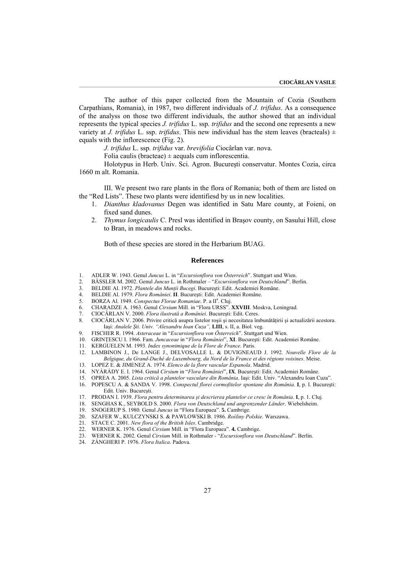The author of this paper collected from the Mountain of Cozia (Southern Carpathians, Romania), in 1987, two different individuals of *J. trifidus*. As a consequence of the analyss on those two different individuals, the author showed that an individual represents the typical species *J. trifidus* L. ssp. *trifidus* and the second one represents a new variety at *J. trifidus* L. ssp. *trifidus*. This new individual has the stem leaves (bracteals)  $\pm$ equals with the inflorescence (Fig. 2).

*J. trifidus* L. ssp. *trifidus* var. *brevifolia* Ciocârlan var. nova.

Folia caulis (bracteae)  $\pm$  aequals cum inflorescentia.

 Holotypus in Herb. Univ. Sci. Agron. Bucureşti conservatur. Montes Cozia, circa 1660 m alt. Romania.

 III. We present two rare plants in the flora of Romania; both of them are listed on the "Red Lists". These two plants were identifiesd by us in new localities.

- 1. *Dianthus kladovanus* Degen was identified in Satu Mare county, at Foieni, on fixed sand dunes.
- 2. *Thymus longicaulis* C. Presl was identified in Braşov county, on Sasului Hill, close to Bran, in meadows and rocks.

Both of these species are stored in the Herbarium BUAG.

#### **References**

- 1. ADLER W. 1943. Genul *Juncus* L. in "*Excursionflora von Österreich*". Stuttgart und Wien.
- 2. BÄSSLER M. 2002. Genul *Juncus* L. in Rothmaler "*Excursionflora von Deutschland*". Berlin.
- 3. BELDIE Al. 1972. *Plantele din Munţii Bucegi*. Bucureşti: Edit. Academiei Române.
- 4. BELDIE Al. 1979. *Flora României*. **II**. Bucureşti: Edit. Academiei Române.
- 5. BORZA Al. 1949. Conspectus Florae Romaniae. P. a II<sup>a</sup>. Cluj.
- 6. CHARADZE A. 1963. Genul *Cirsium* Mill. in "Flora URSS". **XXVIII**. Moskva, Leningrad.
- 7. CIOCÂRLAN V. 2000. *Flora ilustrată a României*. Bucureşti: Edit. Ceres.
- 8. CIOCÂRLAN V. 2006. Privire critică asupra listelor roșii și necesitatea îmbunătățirii și actualizării acestora. Iaşi: *Analele Şti. Univ. "Alexandru Ioan Cuza",* **LIII**, s. II, a. Biol. veg.
- 9. FISCHER R. 1994. *Asteraceae* in "*Excursionflora von Österreich*". Stuttgart und Wien.
- 10. GRINŢESCU I. 1966. Fam. *Juncaceae* in "*Flora României*", **XI**. Bucureşti: Edit. Academiei Române.
- 11. KERGUELEN M. 1993. *Index synonimique de la Flore de France*. Paris.
- 12. LAMBINON J., De LANGE J., DELVOSALLE L. & DUVIGNEAUD J. 1992. *Nouvelle Flore de la Belgique, du Grand-Duché de Luxembourg, du Nord de la France et des régions voisines*. Meise.
- 13. LOPEZ E. & JIMENEZ A. 1974. *Elenco de la flore vascular Espanola*. Madrid.
- 14. NYÁRÁDY E. I. 1964. Genul *Cirsium* in "*Flora României*", **IX**. Bucureşti: Edit. Academiei Române.
- 15. OPREA A. 2005. *Lista critică a plantelor vasculare din România*. Iaşi: Edit. Univ. "Alexandru Ioan Cuza". 16. POPESCU A. & SANDA V. 1998. *Conspectul florei cormofitelor spontane din România*. **I**, p. I. Bucureşti:
- Edit. Univ. Bucureşti.
- 17. PRODAN I. 1939. *Flora pentru determinarea şi descrierea plantelor ce cresc în România*. **I**, p. 1. Cluj.
- 18. SENGHAS K., SEYBOLD S. 2000. *Flora von Deutschland und angrenzender Länder*. Wiebelsheim.
- 19. SNOGERUP S. 1980. Genul *Juncus* in "Flora Europaea". **5.** Cambrige.
- 20. SZAFER W., KULCZYNSKI S. & PAWLOWSKI B. 1986. *Rośliny Polskie*. Warszawa.
- 21. STACE C. 2001. *New flora of the British Isles*. Cambridge.
- 22. WERNER K. 1976. Genul *Cirsium* Mill. in "Flora Europaea". **4.** Cambrige.
- 23. WERNER K. 2002. Genul *Cirsium* Mill. in Rothmaler "*Excursionflora von Deutschland*". Berlin.
- 24. ZÁNGHERI P. 1976. *Flora Italica*. Padova.